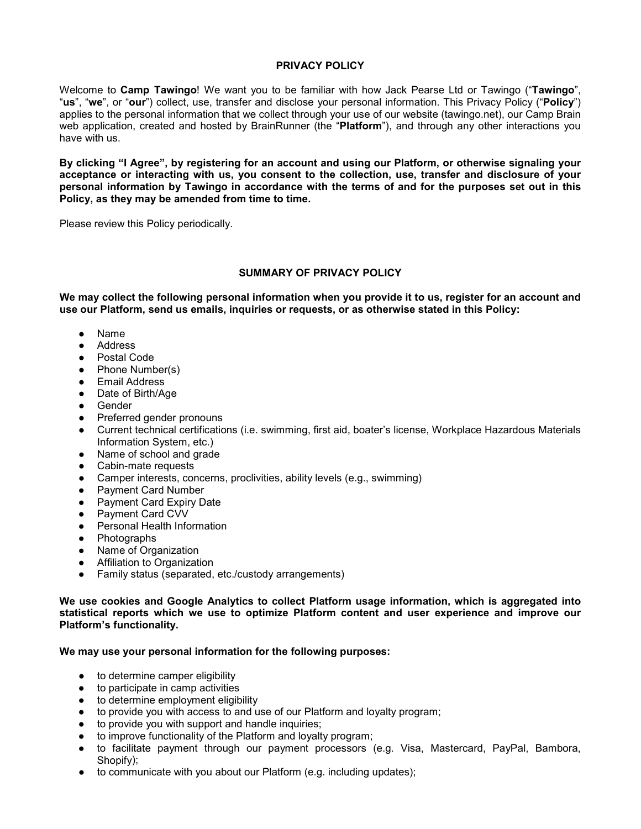### **PRIVACY POLICY**

Welcome to **Camp Tawingo**! We want you to be familiar with how Jack Pearse Ltd or Tawingo ("**Tawingo**", "**us**", "**we**", or "**our**") collect, use, transfer and disclose your personal information. This Privacy Policy ("**Policy**") applies to the personal information that we collect through your use of our website (tawingo.net), our Camp Brain web application, created and hosted by BrainRunner (the "**Platform**"), and through any other interactions you have with us.

**By clicking "I Agree", by registering for an account and using our Platform, or otherwise signaling your acceptance or interacting with us, you consent to the collection, use, transfer and disclosure of your** personal information by Tawingo in accordance with the terms of and for the purposes set out in this **Policy, as they may be amended from time to time.**

Please review this Policy periodically.

### **SUMMARY OF PRIVACY POLICY**

We may collect the following personal information when you provide it to us, register for an account and **use our Platform, send us emails, inquiries or requests, or as otherwise stated in this Policy:**

- Name
- Address
- Postal Code
- Phone Number(s)
- Email Address
- Date of Birth/Age
- Gender
- Preferred gender pronouns
- Current technical certifications (i.e. swimming, first aid, boater's license, Workplace Hazardous Materials Information System, etc.)
- Name of school and grade
- Cabin-mate requests
- Camper interests, concerns, proclivities, ability levels (e.g., swimming)
- Payment Card Number
- Payment Card Expiry Date
- Payment Card CVV
- Personal Health Information
- Photographs
- Name of Organization
- Affiliation to Organization
- Family status (separated, etc./custody arrangements)

**We use cookies and Google Analytics to collect Platform usage information, which is aggregated into statistical reports which we use to optimize Platform content and user experience and improve our Platform's functionality.**

### **We may use your personal information for the following purposes:**

- to determine camper eligibility
- to participate in camp activities
- to determine employment eligibility
- to provide you with access to and use of our Platform and loyalty program;
- to provide you with support and handle inquiries:
- to improve functionality of the Platform and loyalty program;
- to facilitate payment through our payment processors (e.g. Visa, Mastercard, PayPal, Bambora, Shopify);
- to communicate with you about our Platform (e.g. including updates);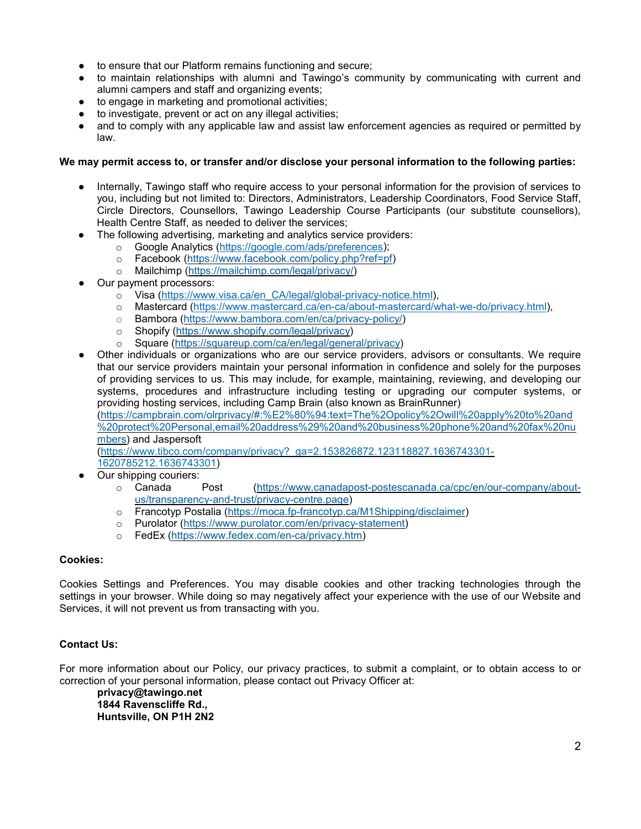- to ensure that our Platform remains functioning and secure;
- to maintain relationships with alumni and Tawingo's community by communicating with current and alumni campers and staff and organizing events;
- to engage in marketing and promotional activities;
- to investigate, prevent or act on any illegal activities;
- and to comply with any applicable law and assist law enforcement agencies as required or permitted by law.

# **We may permit access to, or transfer and/or disclose your personal information to the following parties:**

- Internally, Tawingo staff who require access to your personal information for the provision of services to you, including but not limited to: Directors, Administrators, Leadership Coordinators, Food Service Staff, Circle Directors, Counsellors, Tawingo Leadership Course Participants (our substitute counsellors), Health Centre Staff, as needed to deliver the services;
- The following advertising, marketing and analytics service providers:
	- o Google Analytics [\(https://google.com/ads/preferences\)](https://google.com/ads/preferences);
	- o Facebook [\(https://www.facebook.com/policy.php?ref=pf\)](https://www.facebook.com/policy.php?ref=pf)<br>o Mailchimp (https://mailchimp.com/legal/privacy/)
	- Mailchimp [\(https://mailchimp.com/legal/privacy/\)](https://mailchimp.com/legal/privacy/)
- Our payment processors:
	- o Visa [\(https://www.visa.ca/en\\_CA/legal/global-privacy-notice.html\)](https://www.visa.ca/en_CA/legal/global-privacy-notice.html),
	- o Mastercard [\(https://www.mastercard.ca/en-ca/about-mastercard/what-we-do/privacy.html\)](https://www.mastercard.ca/en-ca/about-mastercard/what-we-do/privacy.html),
	- o Bambora [\(https://www.bambora.com/en/ca/privacy-policy/\)](https://www.bambora.com/en/ca/privacy-policy/)<br>o Shopify (https://www.shopify.com/legal/privacy)
	- o Shopify [\(https://www.shopify.com/legal/privacy\)](https://www.shopify.com/legal/privacy)<br>o Square (https://squareup.com/ca/en/legal/genere
	- Square [\(https://squareup.com/ca/en/legal/general/privacy\)](https://squareup.com/ca/en/legal/general/privacy)
- Other individuals or organizations who are our service providers, advisors or consultants. We require that our service providers maintain your personal information in confidence and solely for the purposes of providing services to us. This may include, for example, maintaining, reviewing, and developing our systems, procedures and infrastructure including testing or upgrading our computer systems, or providing hosting services, including Camp Brain (also known as BrainRunner)

[\(https://campbrain.com/olrprivacy/#:%E2%80%94:text=The%2Opolicy%2Owill%20apply%20to%20and](https://campbrain.com/olrprivacy/#:%E2%80%94:text=The%252Opolicy%252Owill%20apply%20to%20and%20protect%20Personal,email%20address%29%20and%20business%20phone%20and%20fax%20numbers) [%20protect%20Personal,email%20address%29%20and%20business%20phone%20and%20fax%20nu](https://campbrain.com/olrprivacy/#:%E2%80%94:text=The%252Opolicy%252Owill%20apply%20to%20and%20protect%20Personal,email%20address%29%20and%20business%20phone%20and%20fax%20numbers) [mbers\)](https://campbrain.com/olrprivacy/#:%E2%80%94:text=The%252Opolicy%252Owill%20apply%20to%20and%20protect%20Personal,email%20address%29%20and%20business%20phone%20and%20fax%20numbers) and Jaspersoft

[\(https://www.tibco.com/company/privacy?\\_ga=2.153826872.123118827.1636743301-](https://www.tibco.com/company/privacy?_ga=2.153826872.123118827.1636743301-1620785212.1636743301) [1620785212.1636743301\)](https://www.tibco.com/company/privacy?_ga=2.153826872.123118827.1636743301-1620785212.1636743301)

- 
- Our shipping couriers:<br>  $\circ$  Canada Post [\(https://www.canadapost-postescanada.ca/cpc/en/our-company/about](https://www.canadapost-postescanada.ca/cpc/en/our-company/about-us/transparency-and-trust/privacy-centre.page)[us/transparency-and-trust/privacy-centre.page\)](https://www.canadapost-postescanada.ca/cpc/en/our-company/about-us/transparency-and-trust/privacy-centre.page)
	- o Francotyp Postalia [\(https://moca.fp-francotyp.ca/M1Shipping/disclaimer\)](https://moca.fp-francotyp.ca/M1Shipping/disclaimer)
	- o Purolator [\(https://www.purolator.com/en/privacy-statement\)](https://www.purolator.com/en/privacy-statement)
	- o FedEx [\(https://www.fedex.com/en-ca/privacy.htm\)](https://www.fedex.com/en-ca/privacy.htm)

# **Cookies:**

Cookies Settings and Preferences. You may disable cookies and other tracking technologies through the settings in your browser. While doing so may negatively affect your experience with the use of our Website and Services, it will not prevent us from transacting with you.

# **Contact Us:**

For more information about our Policy, our privacy practices, to submit a complaint, or to obtain access to or correction of your personal information, please contact out Privacy Officer at:

**privacy@tawingo.net 1844 Ravenscliffe Rd., Huntsville, ON P1H 2N2**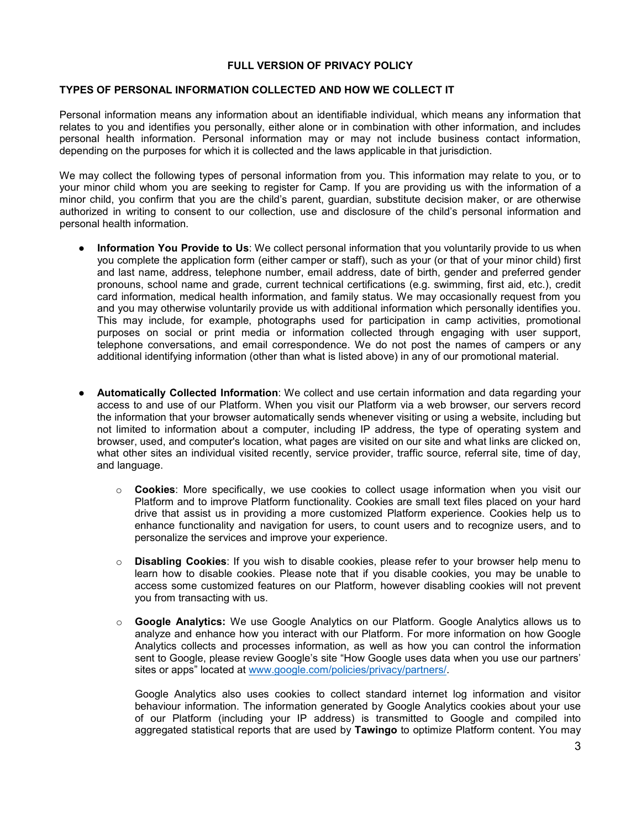# **FULL VERSION OF PRIVACY POLICY**

### **TYPES OF PERSONAL INFORMATION COLLECTED AND HOW WE COLLECT IT**

Personal information means any information about an identifiable individual, which means any information that relates to you and identifies you personally, either alone or in combination with other information, and includes personal health information. Personal information may or may not include business contact information, depending on the purposes for which it is collected and the laws applicable in that jurisdiction.

We may collect the following types of personal information from you. This information may relate to you, or to your minor child whom you are seeking to register for Camp. If you are providing us with the information of a minor child, you confirm that you are the child's parent, guardian, substitute decision maker, or are otherwise authorized in writing to consent to our collection, use and disclosure of the child's personal information and personal health information.

- **Information You Provide to Us**: We collect personal information that you voluntarily provide to us when you complete the application form (either camper or staff), such as your (or that of your minor child) first and last name, address, telephone number, email address, date of birth, gender and preferred gender pronouns, school name and grade, current technical certifications (e.g. swimming, first aid, etc.), credit card information, medical health information, and family status. We may occasionally request from you and you may otherwise voluntarily provide us with additional information which personally identifies you. This may include, for example, photographs used for participation in camp activities, promotional purposes on social or print media or information collected through engaging with user support, telephone conversations, and email correspondence. We do not post the names of campers or any additional identifying information (other than what is listed above) in any of our promotional material.
- **Automatically Collected Information**: We collect and use certain information and data regarding your access to and use of our Platform. When you visit our Platform via a web browser, our servers record the information that your browser automatically sends whenever visiting or using a website, including but not limited to information about a computer, including IP address, the type of operating system and browser, used, and computer's location, what pages are visited on our site and what links are clicked on, what other sites an individual visited recently, service provider, traffic source, referral site, time of day, and language.
	- o **Cookies**: More specifically, we use cookies to collect usage information when you visit our Platform and to improve Platform functionality. Cookies are small text files placed on your hard drive that assist us in providing a more customized Platform experience. Cookies help us to enhance functionality and navigation for users, to count users and to recognize users, and to personalize the services and improve your experience.
	- o **Disabling Cookies**: If you wish to disable cookies, please refer to your browser help menu to learn how to disable cookies. Please note that if you disable cookies, you may be unable to access some customized features on our Platform, however disabling cookies will not prevent you from transacting with us.
	- o **Google Analytics:** We use Google Analytics on our Platform. Google Analytics allows us to analyze and enhance how you interact with our Platform. For more information on how Google Analytics collects and processes information, as well as how you can control the information sent to Google, please review Google's site "How Google uses data when you use our partners' sites or apps" located at [www.google.com/policies/privacy/partners/.](http://www.google.com/policies/privacy/partners/)

Google Analytics also uses cookies to collect standard internet log information and visitor behaviour information. The information generated by Google Analytics cookies about your use of our Platform (including your IP address) is transmitted to Google and compiled into aggregated statistical reports that are used by **Tawingo** to optimize Platform content. You may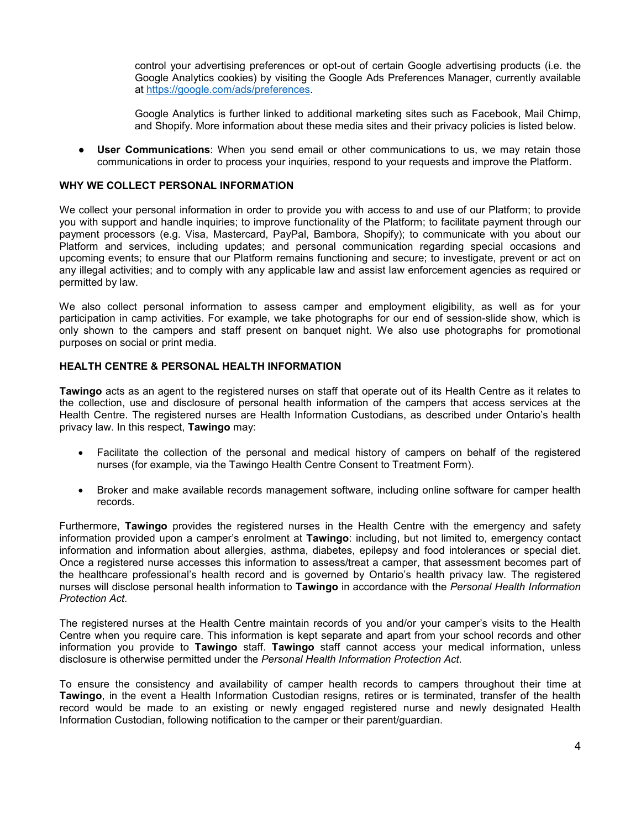control your advertising preferences or opt-out of certain Google advertising products (i.e. the Google Analytics cookies) by visiting the Google Ads Preferences Manager, currently available at [https://google.com/ads/preferences.](https://google.com/ads/preferences)

Google Analytics is further linked to additional marketing sites such as Facebook, Mail Chimp, and Shopify. More information about these media sites and their privacy policies is listed below.

● **User Communications**: When you send email or other communications to us, we may retain those communications in order to process your inquiries, respond to your requests and improve the Platform.

### **WHY WE COLLECT PERSONAL INFORMATION**

We collect your personal information in order to provide you with access to and use of our Platform; to provide you with support and handle inquiries; to improve functionality of the Platform; to facilitate payment through our payment processors (e.g. Visa, Mastercard, PayPal, Bambora, Shopify); to communicate with you about our Platform and services, including updates; and personal communication regarding special occasions and upcoming events; to ensure that our Platform remains functioning and secure; to investigate, prevent or act on any illegal activities; and to comply with any applicable law and assist law enforcement agencies as required or permitted by law.

We also collect personal information to assess camper and employment eligibility, as well as for your participation in camp activities. For example, we take photographs for our end of session-slide show, which is only shown to the campers and staff present on banquet night. We also use photographs for promotional purposes on social or print media.

### **HEALTH CENTRE & PERSONAL HEALTH INFORMATION**

**Tawingo** acts as an agent to the registered nurses on staff that operate out of its Health Centre as it relates to the collection, use and disclosure of personal health information of the campers that access services at the Health Centre. The registered nurses are Health Information Custodians, as described under Ontario's health privacy law. In this respect, **Tawingo** may:

- Facilitate the collection of the personal and medical history of campers on behalf of the registered nurses (for example, via the Tawingo Health Centre Consent to Treatment Form).
- Broker and make available records management software, including online software for camper health records.

Furthermore, **Tawingo** provides the registered nurses in the Health Centre with the emergency and safety information provided upon a camper's enrolment at **Tawingo**: including, but not limited to, emergency contact information and information about allergies, asthma, diabetes, epilepsy and food intolerances or special diet. Once a registered nurse accesses this information to assess/treat a camper, that assessment becomes part of the healthcare professional's health record and is governed by Ontario's health privacy law. The registered nurses will disclose personal health information to **Tawingo** in accordance with the *Personal Health Information Protection Act*.

The registered nurses at the Health Centre maintain records of you and/or your camper's visits to the Health Centre when you require care. This information is kept separate and apart from your school records and other information you provide to **Tawingo** staff. **Tawingo** staff cannot access your medical information, unless disclosure is otherwise permitted under the *Personal Health Information Protection Act*.

To ensure the consistency and availability of camper health records to campers throughout their time at **Tawingo**, in the event a Health Information Custodian resigns, retires or is terminated, transfer of the health record would be made to an existing or newly engaged registered nurse and newly designated Health Information Custodian, following notification to the camper or their parent/guardian.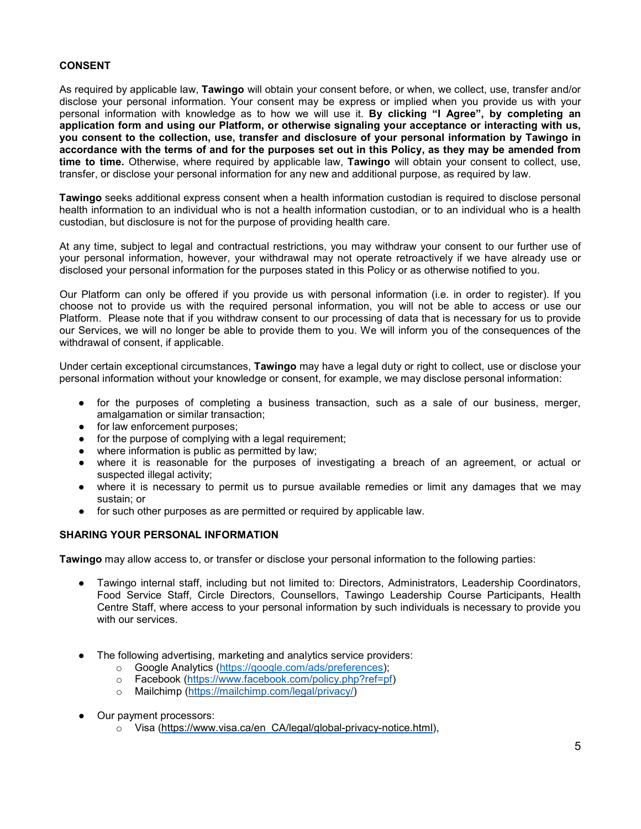## **CONSENT**

As required by applicable law, **Tawingo** will obtain your consent before, or when, we collect, use, transfer and/or disclose your personal information. Your consent may be express or implied when you provide us with your personal information with knowledge as to how we will use it. **By clicking "I Agree", by completing an application form and using our Platform, or otherwise signaling your acceptance or interacting with us, you consent to the collection, use, transfer and disclosure of your personal information by Tawingo in** accordance with the terms of and for the purposes set out in this Policy, as they may be amended from **time to time.** Otherwise, where required by applicable law, **Tawingo** will obtain your consent to collect, use, transfer, or disclose your personal information for any new and additional purpose, as required by law.

**Tawingo** seeks additional express consent when a health information custodian is required to disclose personal health information to an individual who is not a health information custodian, or to an individual who is a health custodian, but disclosure is not for the purpose of providing health care.

At any time, subject to legal and contractual restrictions, you may withdraw your consent to our further use of your personal information, however, your withdrawal may not operate retroactively if we have already use or disclosed your personal information for the purposes stated in this Policy or as otherwise notified to you.

Our Platform can only be offered if you provide us with personal information (i.e. in order to register). If you choose not to provide us with the required personal information, you will not be able to access or use our Platform. Please note that if you withdraw consent to our processing of data that is necessary for us to provide our Services, we will no longer be able to provide them to you. We will inform you of the consequences of the withdrawal of consent, if applicable.

Under certain exceptional circumstances, **Tawingo** may have a legal duty or right to collect, use or disclose your personal information without your knowledge or consent, for example, we may disclose personal information:

- for the purposes of completing a business transaction, such as a sale of our business, merger, amalgamation or similar transaction;
- for law enforcement purposes;
- for the purpose of complying with a legal requirement;
- where information is public as permitted by law;
- where it is reasonable for the purposes of investigating a breach of an agreement, or actual or suspected illegal activity;
- where it is necessary to permit us to pursue available remedies or limit any damages that we may sustain; or
- for such other purposes as are permitted or required by applicable law.

### **SHARING YOUR PERSONAL INFORMATION**

**Tawingo** may allow access to, or transfer or disclose your personal information to the following parties:

- Tawingo internal staff, including but not limited to: Directors, Administrators, Leadership Coordinators, Food Service Staff, Circle Directors, Counsellors, Tawingo Leadership Course Participants, Health Centre Staff, where access to your personal information by such individuals is necessary to provide you with our services.
- The following advertising, marketing and analytics service providers:
	- o Google Analytics [\(https://google.com/ads/preferences\)](https://google.com/ads/preferences);<br>o Facebook (https://www.facebook.com/policy.php?ref=nf
	- Facebook [\(https://www.facebook.com/policy.php?ref=pf\)](https://www.facebook.com/policy.php?ref=pf)
	- o Mailchimp [\(https://mailchimp.com/legal/privacy/\)](https://mailchimp.com/legal/privacy/)
- Our payment processors:
	- o Visa [\(https://www.visa.ca/en\\_CA/legal/global-privacy-notice.html\)](https://www.visa.ca/en_CA/legal/global-privacy-notice.html),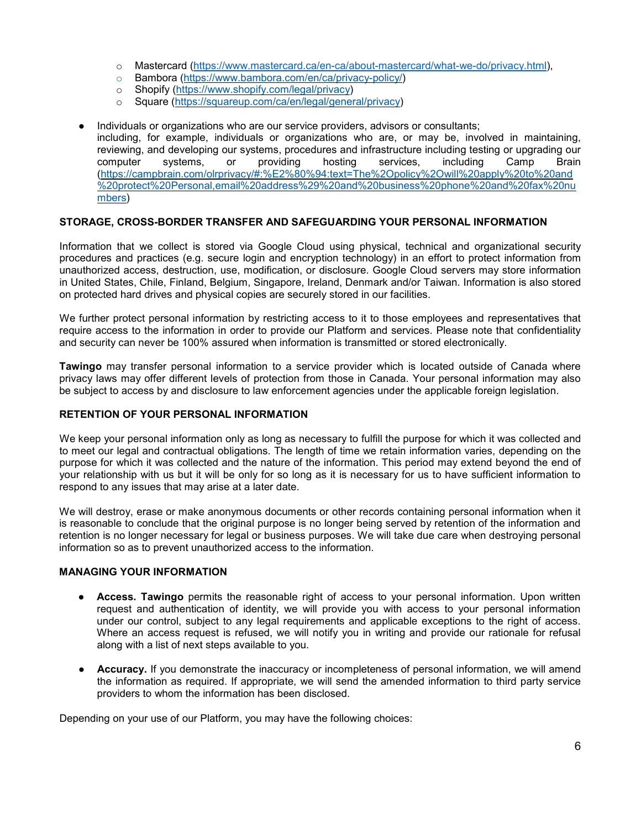- o Mastercard [\(https://www.mastercard.ca/en-ca/about-mastercard/what-we-do/privacy.html\)](https://www.mastercard.ca/en-ca/about-mastercard/what-we-do/privacy.html),
- o Bambora [\(https://www.bambora.com/en/ca/privacy-policy/\)](https://www.bambora.com/en/ca/privacy-policy/)
- o Shopify [\(https://www.shopify.com/legal/privacy\)](https://www.shopify.com/legal/privacy)<br>o Square (https://squareup.com/ca/en/legal/gener
- Square [\(https://squareup.com/ca/en/legal/general/privacy\)](https://squareup.com/ca/en/legal/general/privacy)
- Individuals or organizations who are our service providers, advisors or consultants; including, for example, individuals or organizations who are, or may be, involved in maintaining, reviewing, and developing our systems, procedures and infrastructure including testing or upgrading our computer systems, or providing hosting services, including Camp Brain [\(https://campbrain.com/olrprivacy/#:%E2%80%94:text=The%2Opolicy%2Owill%20apply%20to%20and](https://campbrain.com/olrprivacy/#:%E2%80%94:text=The%252Opolicy%252Owill%20apply%20to%20and%20protect%20Personal,email%20address%29%20and%20business%20phone%20and%20fax%20numbers) [%20protect%20Personal,email%20address%29%20and%20business%20phone%20and%20fax%20nu](https://campbrain.com/olrprivacy/#:%E2%80%94:text=The%252Opolicy%252Owill%20apply%20to%20and%20protect%20Personal,email%20address%29%20and%20business%20phone%20and%20fax%20numbers) [mbers\)](https://campbrain.com/olrprivacy/#:%E2%80%94:text=The%252Opolicy%252Owill%20apply%20to%20and%20protect%20Personal,email%20address%29%20and%20business%20phone%20and%20fax%20numbers)

# **STORAGE, CROSS-BORDER TRANSFER AND SAFEGUARDING YOUR PERSONAL INFORMATION**

Information that we collect is stored via Google Cloud using physical, technical and organizational security procedures and practices (e.g. secure login and encryption technology) in an effort to protect information from unauthorized access, destruction, use, modification, or disclosure. Google Cloud servers may store information in United States, Chile, Finland, Belgium, Singapore, Ireland, Denmark and/or Taiwan. Information is also stored on protected hard drives and physical copies are securely stored in our facilities.

We further protect personal information by restricting access to it to those employees and representatives that require access to the information in order to provide our Platform and services. Please note that confidentiality and security can never be 100% assured when information is transmitted or stored electronically.

**Tawingo** may transfer personal information to a service provider which is located outside of Canada where privacy laws may offer different levels of protection from those in Canada. Your personal information may also be subject to access by and disclosure to law enforcement agencies under the applicable foreign legislation.

### **RETENTION OF YOUR PERSONAL INFORMATION**

We keep your personal information only as long as necessary to fulfill the purpose for which it was collected and to meet our legal and contractual obligations. The length of time we retain information varies, depending on the purpose for which it was collected and the nature of the information. This period may extend beyond the end of your relationship with us but it will be only for so long as it is necessary for us to have sufficient information to respond to any issues that may arise at a later date.

We will destroy, erase or make anonymous documents or other records containing personal information when it is reasonable to conclude that the original purpose is no longer being served by retention of the information and retention is no longer necessary for legal or business purposes. We will take due care when destroying personal information so as to prevent unauthorized access to the information.

### **MANAGING YOUR INFORMATION**

- **Access. Tawingo** permits the reasonable right of access to your personal information. Upon written request and authentication of identity, we will provide you with access to your personal information under our control, subject to any legal requirements and applicable exceptions to the right of access. Where an access request is refused, we will notify you in writing and provide our rationale for refusal along with a list of next steps available to you.
- **Accuracy.** If you demonstrate the inaccuracy or incompleteness of personal information, we will amend the information as required. If appropriate, we will send the amended information to third party service providers to whom the information has been disclosed.

Depending on your use of our Platform, you may have the following choices: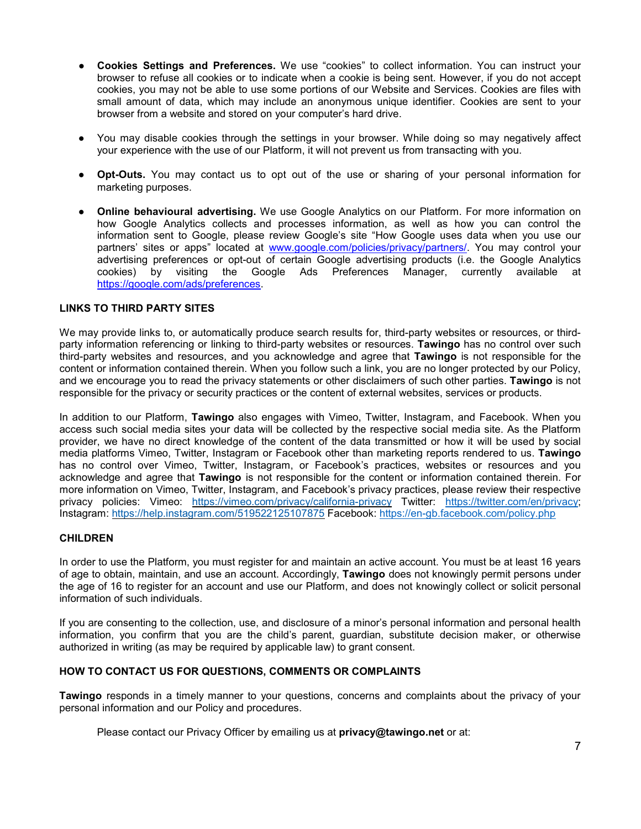- **Cookies Settings and Preferences.** We use "cookies" to collect information. You can instruct your browser to refuse all cookies or to indicate when a cookie is being sent. However, if you do not accept cookies, you may not be able to use some portions of our Website and Services. Cookies are files with small amount of data, which may include an anonymous unique identifier. Cookies are sent to your browser from a website and stored on your computer's hard drive.
- You may disable cookies through the settings in your browser. While doing so may negatively affect your experience with the use of our Platform, it will not prevent us from transacting with you.
- **Opt-Outs.** You may contact us to opt out of the use or sharing of your personal information for marketing purposes.
- **Online behavioural advertising.** We use Google Analytics on our Platform. For more information on how Google Analytics collects and processes information, as well as how you can control the information sent to Google, please review Google's site "How Google uses data when you use our partners' sites or apps" located at [www.google.com/policies/privacy/partners/.](http://www.google.com/policies/privacy/partners/) You may control your advertising preferences or opt-out of certain Google advertising products (i.e. the Google Analytics cookies) by visiting the Google Ads Preferences Manager, currently available at [https://google.com/ads/preferences.](https://google.com/ads/preferences)

# **LINKS TO THIRD PARTY SITES**

We may provide links to, or automatically produce search results for, third-party websites or resources, or thirdparty information referencing or linking to third-party websites or resources. **Tawingo** has no control over such third-party websites and resources, and you acknowledge and agree that **Tawingo** is not responsible for the content or information contained therein. When you follow such a link, you are no longer protected by our Policy, and we encourage you to read the privacy statements or other disclaimers of such other parties. **Tawingo** is not responsible for the privacy or security practices or the content of external websites, services or products.

In addition to our Platform, **Tawingo** also engages with Vimeo, Twitter, Instagram, and Facebook. When you access such social media sites your data will be collected by the respective social media site. As the Platform provider, we have no direct knowledge of the content of the data transmitted or how it will be used by social media platforms Vimeo, Twitter, Instagram or Facebook other than marketing reports rendered to us. **Tawingo** has no control over Vimeo, Twitter, Instagram, or Facebook's practices, websites or resources and you acknowledge and agree that **Tawingo** is not responsible for the content or information contained therein. For more information on Vimeo, Twitter, Instagram, and Facebook's privacy practices, please review their respective privacy policies: Vimeo: <https://vimeo.com/privacy/california-privacy> Twitter: [https://twitter.com/en/privacy;](https://twitter.com/en/privacy) Instagram: <https://help.instagram.com/519522125107875> Facebook: <https://en-gb.facebook.com/policy.php>

### **CHILDREN**

In order to use the Platform, you must register for and maintain an active account. You must be at least 16 years of age to obtain, maintain, and use an account. Accordingly, **Tawingo** does not knowingly permit persons under the age of 16 to register for an account and use our Platform, and does not knowingly collect or solicit personal information of such individuals.

If you are consenting to the collection, use, and disclosure of a minor's personal information and personal health information, you confirm that you are the child's parent, guardian, substitute decision maker, or otherwise authorized in writing (as may be required by applicable law) to grant consent.

### **HOW TO CONTACT US FOR QUESTIONS, COMMENTS OR COMPLAINTS**

**Tawingo** responds in a timely manner to your questions, concerns and complaints about the privacy of your personal information and our Policy and procedures.

Please contact our Privacy Officer by emailing us at **privacy@tawingo.net** or at: